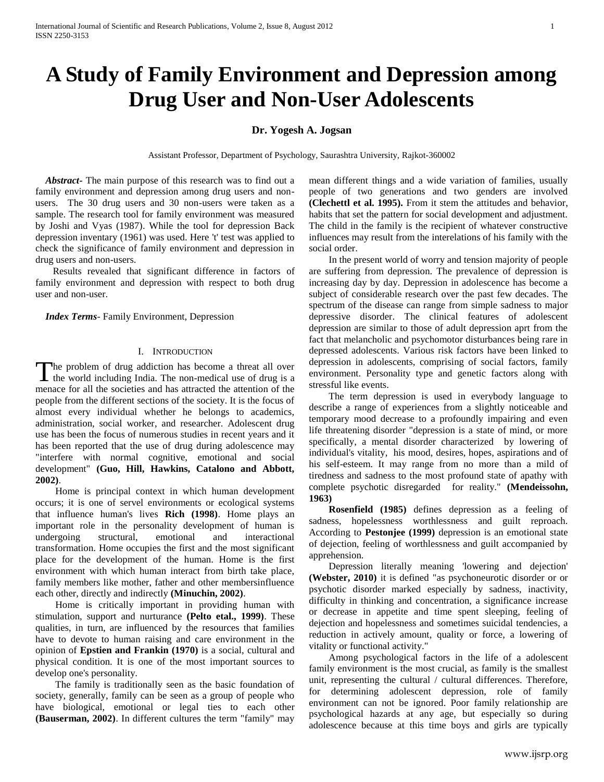# **A Study of Family Environment and Depression among Drug User and Non-User Adolescents**

# **Dr. Yogesh A. Jogsan**

Assistant Professor, Department of Psychology, Saurashtra University, Rajkot-360002

 *Abstract***-** The main purpose of this research was to find out a family environment and depression among drug users and nonusers. The 30 drug users and 30 non-users were taken as a sample. The research tool for family environment was measured by Joshi and Vyas (1987). While the tool for depression Back depression inventary (1961) was used. Here 't' test was applied to check the significance of family environment and depression in drug users and non-users.

 Results revealed that significant difference in factors of family environment and depression with respect to both drug user and non-user.

 *Index Terms*- Family Environment, Depression

### I. INTRODUCTION

The problem of drug addiction has become a threat all over The problem of drug addiction has become a threat all over the world including India. The non-medical use of drug is a menace for all the societies and has attracted the attention of the people from the different sections of the society. It is the focus of almost every individual whether he belongs to academics, administration, social worker, and researcher. Adolescent drug use has been the focus of numerous studies in recent years and it has been reported that the use of drug during adolescence may "interfere with normal cognitive, emotional and social development" **(Guo, Hill, Hawkins, Catalono and Abbott, 2002)**.

 Home is principal context in which human development occurs; it is one of servel environments or ecological systems that influence human's lives **Rich (1998)**. Home plays an important role in the personality development of human is undergoing structural, emotional and interactional transformation. Home occupies the first and the most significant place for the development of the human. Home is the first environment with which human interact from birth take place, family members like mother, father and other membersinfluence each other, directly and indirectly **(Minuchin, 2002)**.

 Home is critically important in providing human with stimulation, support and nurturance **(Pelto etal., 1999)**. These qualities, in turn, are influenced by the resources that families have to devote to human raising and care environment in the opinion of **Epstien and Frankin (1970)** is a social, cultural and physical condition. It is one of the most important sources to develop one's personality.

 The family is traditionally seen as the basic foundation of society, generally, family can be seen as a group of people who have biological, emotional or legal ties to each other **(Bauserman, 2002)**. In different cultures the term "family" may mean different things and a wide variation of families, usually people of two generations and two genders are involved **(Clechettl et al. 1995).** From it stem the attitudes and behavior, habits that set the pattern for social development and adjustment. The child in the family is the recipient of whatever constructive influences may result from the interelations of his family with the social order.

 In the present world of worry and tension majority of people are suffering from depression. The prevalence of depression is increasing day by day. Depression in adolescence has become a subject of considerable research over the past few decades. The spectrum of the disease can range from simple sadness to major depressive disorder. The clinical features of adolescent depression are similar to those of adult depression aprt from the fact that melancholic and psychomotor disturbances being rare in depressed adolescents. Various risk factors have been linked to depression in adolescents, comprising of social factors, family environment. Personality type and genetic factors along with stressful like events.

 The term depression is used in everybody language to describe a range of experiences from a slightly noticeable and temporary mood decrease to a profoundly impairing and even life threatening disorder "depression is a state of mind, or more specifically, a mental disorder characterized by lowering of individual's vitality, his mood, desires, hopes, aspirations and of his self-esteem. It may range from no more than a mild of tiredness and sadness to the most profound state of apathy with complete psychotic disregarded for reality." **(Mendeissohn, 1963)**

 **Rosenfield (1985)** defines depression as a feeling of sadness, hopelessness worthlessness and guilt reproach. According to **Pestonjee (1999)** depression is an emotional state of dejection, feeling of worthlessness and guilt accompanied by apprehension.

 Depression literally meaning 'lowering and dejection' **(Webster, 2010)** it is defined "as psychoneurotic disorder or or psychotic disorder marked especially by sadness, inactivity, difficulty in thinking and concentration, a significance increase or decrease in appetite and time spent sleeping, feeling of dejection and hopelessness and sometimes suicidal tendencies, a reduction in actively amount, quality or force, a lowering of vitality or functional activity."

 Among psychological factors in the life of a adolescent family environment is the most crucial, as family is the smallest unit, representing the cultural / cultural differences. Therefore, for determining adolescent depression, role of family environment can not be ignored. Poor family relationship are psychological hazards at any age, but especially so during adolescence because at this time boys and girls are typically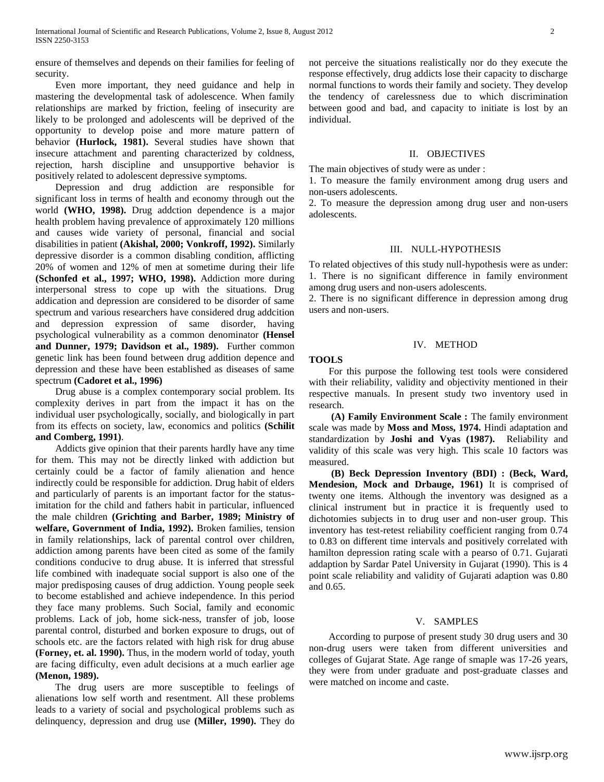ensure of themselves and depends on their families for feeling of security.

 Even more important, they need guidance and help in mastering the developmental task of adolescence. When family relationships are marked by friction, feeling of insecurity are likely to be prolonged and adolescents will be deprived of the opportunity to develop poise and more mature pattern of behavior **(Hurlock, 1981).** Several studies have shown that insecure attachment and parenting characterized by coldness, rejection, harsh discipline and unsupportive behavior is positively related to adolescent depressive symptoms.

 Depression and drug addiction are responsible for significant loss in terms of health and economy through out the world **(WHO, 1998).** Drug addction dependence is a major health problem having prevalence of approximately 120 millions and causes wide variety of personal, financial and social disabilities in patient **(Akishal, 2000; Vonkroff, 1992).** Similarly depressive disorder is a common disabling condition, afflicting 20% of women and 12% of men at sometime during their life **(Schonfed et al., 1997; WHO, 1998).** Addiction more during interpersonal stress to cope up with the situations. Drug addication and depression are considered to be disorder of same spectrum and various researchers have considered drug addcition and depression expression of same disorder, having psychological vulnerability as a common denominator **(Hensel and Dunner, 1979; Davidson et al., 1989).** Further common genetic link has been found between drug addition depence and depression and these have been established as diseases of same spectrum **(Cadoret et al., 1996)**

 Drug abuse is a complex contemporary social problem. Its complexity derives in part from the impact it has on the individual user psychologically, socially, and biologically in part from its effects on society, law, economics and politics **(Schilit and Comberg, 1991)**.

 Addicts give opinion that their parents hardly have any time for them. This may not be directly linked with addiction but certainly could be a factor of family alienation and hence indirectly could be responsible for addiction. Drug habit of elders and particularly of parents is an important factor for the statusimitation for the child and fathers habit in particular, influenced the male children **(Grichting and Barber, 1989; Ministry of welfare, Government of India, 1992).** Broken families, tension in family relationships, lack of parental control over children, addiction among parents have been cited as some of the family conditions conducive to drug abuse. It is inferred that stressful life combined with inadequate social support is also one of the major predisposing causes of drug addiction. Young people seek to become established and achieve independence. In this period they face many problems. Such Social, family and economic problems. Lack of job, home sick-ness, transfer of job, loose parental control, disturbed and borken exposure to drugs, out of schools etc. are the factors related with high risk for drug abuse **(Forney, et. al. 1990).** Thus, in the modern world of today, youth are facing difficulty, even adult decisions at a much earlier age **(Menon, 1989).**

 The drug users are more susceptible to feelings of alienations low self worth and resentment. All these problems leads to a variety of social and psychological problems such as delinquency, depression and drug use **(Miller, 1990).** They do not perceive the situations realistically nor do they execute the response effectively, drug addicts lose their capacity to discharge normal functions to words their family and society. They develop the tendency of carelessness due to which discrimination between good and bad, and capacity to initiate is lost by an individual.

# II. OBJECTIVES

The main objectives of study were as under :

1. To measure the family environment among drug users and non-users adolescents.

2. To measure the depression among drug user and non-users adolescents.

# III. NULL-HYPOTHESIS

To related objectives of this study null-hypothesis were as under: 1. There is no significant difference in family environment among drug users and non-users adolescents.

2. There is no significant difference in depression among drug users and non-users.

# IV. METHOD

# **TOOLS**

 For this purpose the following test tools were considered with their reliability, validity and objectivity mentioned in their respective manuals. In present study two inventory used in research.

 **(A) Family Environment Scale :** The family environment scale was made by **Moss and Moss, 1974.** Hindi adaptation and standardization by **Joshi and Vyas (1987).** Reliability and validity of this scale was very high. This scale 10 factors was measured.

 **(B) Beck Depression Inventory (BDI) : (Beck, Ward, Mendesion, Mock and Drbauge, 1961)** It is comprised of twenty one items. Although the inventory was designed as a clinical instrument but in practice it is frequently used to dichotomies subjects in to drug user and non-user group. This inventory has test-retest reliability coefficient ranging from 0.74 to 0.83 on different time intervals and positively correlated with hamilton depression rating scale with a pearso of 0.71. Gujarati addaption by Sardar Patel University in Gujarat (1990). This is 4 point scale reliability and validity of Gujarati adaption was 0.80 and 0.65.

# V. SAMPLES

 According to purpose of present study 30 drug users and 30 non-drug users were taken from different universities and colleges of Gujarat State. Age range of smaple was 17-26 years, they were from under graduate and post-graduate classes and were matched on income and caste.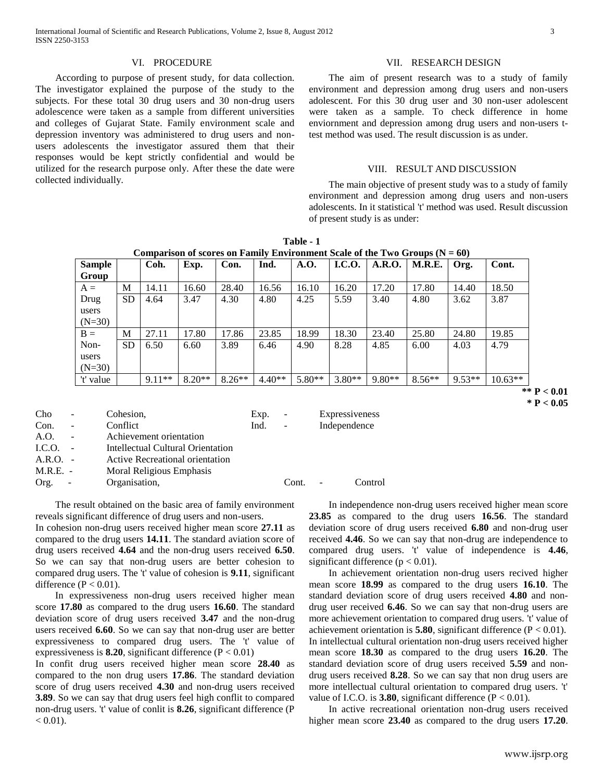# VI. PROCEDURE

 According to purpose of present study, for data collection. The investigator explained the purpose of the study to the subjects. For these total 30 drug users and 30 non-drug users adolescence were taken as a sample from different universities and colleges of Gujarat State. Family environment scale and depression inventory was administered to drug users and nonusers adolescents the investigator assured them that their responses would be kept strictly confidential and would be utilized for the research purpose only. After these the date were collected individually.

#### VII. RESEARCH DESIGN

 The aim of present research was to a study of family environment and depression among drug users and non-users adolescent. For this 30 drug user and 30 non-user adolescent were taken as a sample. To check difference in home enviornment and depression among drug users and non-users ttest method was used. The result discussion is as under.

#### VIII. RESULT AND DISCUSSION

 The main objective of present study was to a study of family environment and depression among drug users and non-users adolescents. In it statistical 't' method was used. Result discussion of present study is as under:

| Table - 1                                                                     |
|-------------------------------------------------------------------------------|
| Comparison of scores on Family Environment Scale of the Two Groups $(N = 60)$ |

| <b>Sample</b> |           | Coh.     | Exp.     | Con.     | Ind.     | A.O.     | <b>I.C.O.</b> | A.R.O.   | M.R.E.   | Org.     | Cont.     |
|---------------|-----------|----------|----------|----------|----------|----------|---------------|----------|----------|----------|-----------|
| Group         |           |          |          |          |          |          |               |          |          |          |           |
| $A =$         | M         | 14.11    | 16.60    | 28.40    | 16.56    | 16.10    | 16.20         | 17.20    | 17.80    | 14.40    | 18.50     |
| Drug          | <b>SD</b> | 4.64     | 3.47     | 4.30     | 4.80     | 4.25     | 5.59          | 3.40     | 4.80     | 3.62     | 3.87      |
| users         |           |          |          |          |          |          |               |          |          |          |           |
| $(N=30)$      |           |          |          |          |          |          |               |          |          |          |           |
| $B =$         | M         | 27.11    | 17.80    | 17.86    | 23.85    | 18.99    | 18.30         | 23.40    | 25.80    | 24.80    | 19.85     |
| Non-          | <b>SD</b> | 6.50     | 6.60     | 3.89     | 6.46     | 4.90     | 8.28          | 4.85     | 6.00     | 4.03     | 4.79      |
| users         |           |          |          |          |          |          |               |          |          |          |           |
| $(N=30)$      |           |          |          |          |          |          |               |          |          |          |           |
| 't' value     |           | $9.11**$ | $8.20**$ | $8.26**$ | $4.40**$ | $5.80**$ | $3.80**$      | $9.80**$ | $8.56**$ | $9.53**$ | $10.63**$ |

**\*\* P < 0.01 \* P < 0.05**

| Cho        | $\sim$                   | Cohesion,                         | Exp. | $\overline{\phantom{a}}$ | Expressiveness |         |
|------------|--------------------------|-----------------------------------|------|--------------------------|----------------|---------|
| Con.       | $\sim$                   | Conflict                          | Ind. | $\blacksquare$           | Independence   |         |
| A.O.       |                          | Achievement orientation           |      |                          |                |         |
| I.C.O.     |                          | Intellectual Cultural Orientation |      |                          |                |         |
| $A.R.O.$ - |                          | Active Recreational orientation   |      |                          |                |         |
| $M.R.E. -$ |                          | Moral Religious Emphasis          |      |                          |                |         |
| Org.       | $\overline{\phantom{a}}$ | Organisation,                     |      | Cont.                    |                | Control |
|            |                          |                                   |      |                          |                |         |

 The result obtained on the basic area of family environment reveals significant difference of drug users and non-users.

In cohesion non-drug users received higher mean score **27.11** as compared to the drug users **14.11**. The standard aviation score of drug users received **4.64** and the non-drug users received **6.50**. So we can say that non-drug users are better cohesion to compared drug users. The 't' value of cohesion is **9.11**, significant difference  $(P < 0.01)$ .

 In expressiveness non-drug users received higher mean score **17.80** as compared to the drug users **16.60**. The standard deviation score of drug users received **3.47** and the non-drug users received **6.60**. So we can say that non-drug user are better expressiveness to compared drug users. The 't' value of expressiveness is **8.20**, significant difference  $(P < 0.01)$ 

In confit drug users received higher mean score **28.40** as compared to the non drug users **17.86**. The standard deviation score of drug users received **4.30** and non-drug users received **3.89**. So we can say that drug users feel high conflit to compared non-drug users. 't' value of conlit is **8.26**, significant difference (P  $< 0.01$ ).

 In independence non-drug users received higher mean score **23.85** as compared to the drug users **16.56**. The standard deviation score of drug users received **6.80** and non-drug user received **4.46**. So we can say that non-drug are independence to compared drug users. 't' value of independence is **4.46**, significant difference ( $p < 0.01$ ).

 In achievement orientation non-drug users recived higher mean score **18.99** as compared to the drug users **16.10**. The standard deviation score of drug users received **4.80** and nondrug user received **6.46**. So we can say that non-drug users are more achievement orientation to compared drug users. 't' value of achievement orientation is **5.80**, significant difference  $(P < 0.01)$ . In intellectual cultural orientation non-drug users received higher mean score **18.30** as compared to the drug users **16.20**. The standard deviation score of drug users received **5.59** and nondrug users received **8.28**. So we can say that non drug users are more intellectual cultural orientation to compared drug users. 't' value of I.C.O. is  $3.80$ , significant difference ( $P < 0.01$ ).

 In active recreational orientation non-drug users received higher mean score **23.40** as compared to the drug users **17.20**.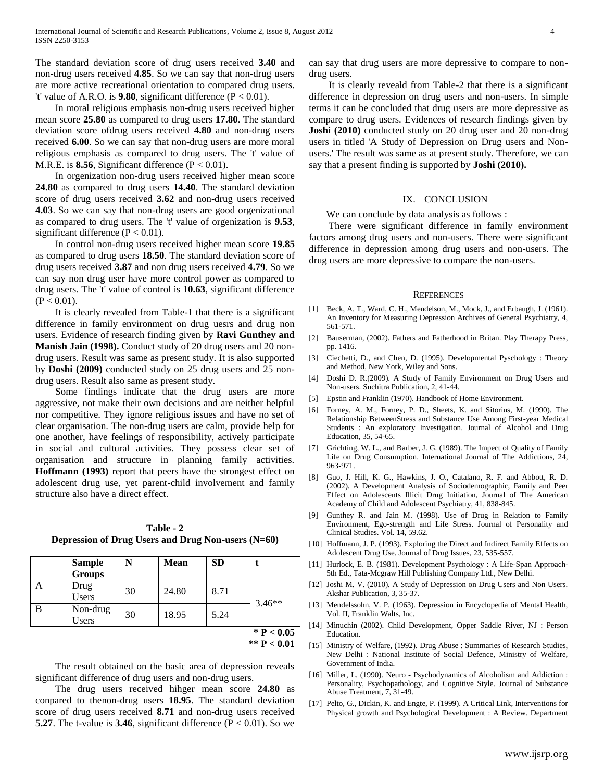The standard deviation score of drug users received **3.40** and non-drug users received **4.85**. So we can say that non-drug users are more active recreational orientation to compared drug users. 't' value of A.R.O. is  $9.80$ , significant difference ( $P < 0.01$ ).

 In moral religious emphasis non-drug users received higher mean score **25.80** as compared to drug users **17.80**. The standard deviation score ofdrug users received **4.80** and non-drug users received **6.00**. So we can say that non-drug users are more moral religious emphasis as compared to drug users. The 't' value of M.R.E. is **8.56**, Significant difference  $(P < 0.01)$ .

 In orgenization non-drug users received higher mean score **24.80** as compared to drug users **14.40**. The standard deviation score of drug users received **3.62** and non-drug users received **4.03**. So we can say that non-drug users are good orgenizational as compared to drug users. The 't' value of orgenization is **9.53**, significant difference ( $P < 0.01$ ).

 In control non-drug users received higher mean score **19.85** as compared to drug users **18.50**. The standard deviation score of drug users received **3.87** and non drug users received **4.79**. So we can say non drug user have more control power as compared to drug users. The 't' value of control is **10.63**, significant difference  $(P < 0.01)$ .

 It is clearly revealed from Table-1 that there is a significant difference in family environment on drug uesrs and drug non users. Evidence of research finding given by **Ravi Gunthey and Manish Jain (1998).** Conduct study of 20 drug users and 20 nondrug users. Result was same as present study. It is also supported by **Doshi (2009)** conducted study on 25 drug users and 25 nondrug users. Result also same as present study.

 Some findings indicate that the drug users are more aggressive, not make their own decisions and are neither helpful nor competitive. They ignore religious issues and have no set of clear organisation. The non-drug users are calm, provide help for one another, have feelings of responsibility, actively participate in social and cultural activities. They possess clear set of organisation and structure in planning family activities. **Hoffmann (1993)** report that peers have the strongest effect on adolescent drug use, yet parent-child involvement and family structure also have a direct effect.

**Table - 2 Depression of Drug Users and Drug Non-users (N=60)**

|   | <b>Sample</b><br><b>Groups</b> | N  | Mean  | <b>SD</b> |              |  |
|---|--------------------------------|----|-------|-----------|--------------|--|
|   | Drug<br>Users                  | 30 | 24.80 | 8.71      | $3.46**$     |  |
| B | Non-drug<br>Users              | 30 | 18.95 | 5.24      |              |  |
|   |                                |    |       |           | * $P < 0.05$ |  |

**<sup>\*\*</sup> P < 0.01**

 The result obtained on the basic area of depression reveals significant difference of drug users and non-drug users.

 The drug users received hihger mean score **24.80** as conpared to thenon-drug users **18.95**. The standard deviation score of drug users received **8.71** and non-drug users received **5.27**. The t-value is **3.46**, significant difference  $(P < 0.01)$ . So we

can say that drug users are more depressive to compare to nondrug users.

 It is clearly reveald from Table-2 that there is a significant difference in depression on drug users and non-users. In simple terms it can be concluded that drug users are more depressive as compare to drug users. Evidences of research findings given by **Joshi (2010)** conducted study on 20 drug user and 20 non-drug users in titled 'A Study of Depression on Drug users and Nonusers.' The result was same as at present study. Therefore, we can say that a present finding is supported by **Joshi (2010).** 

#### IX. CONCLUSION

We can conclude by data analysis as follows :

 There were significant difference in family environment factors among drug users and non-users. There were significant difference in depression among drug users and non-users. The drug users are more depressive to compare the non-users.

#### **REFERENCES**

- [1] Beck, A. T., Ward, C. H., Mendelson, M., Mock, J., and Erbaugh, J. (1961). An Inventory for Measuring Depression Archives of General Psychiatry, 4, 561-571.
- [2] Bauserman, (2002). Fathers and Fatherhood in Britan. Play Therapy Press, pp. 1416.
- [3] Ciechetti, D., and Chen, D. (1995). Developmental Pyschology : Theory and Method, New York, Wiley and Sons.
- [4] Doshi D. R.(2009). A Study of Family Environment on Drug Users and Non-users. Suchitra Publication, 2, 41-44.
- [5] Epstin and Franklin (1970). Handbook of Home Environment.
- [6] Forney, A. M., Forney, P. D., Sheets, K. and Sitorius, M. (1990). The Relationship BetweenStress and Substance Use Among First-year Medical Students : An exploratory Investigation. Journal of Alcohol and Drug Education, 35, 54-65.
- [7] Grichting, W. L., and Barber, J. G. (1989). The Impect of Quality of Family Life on Drug Consumption. International Journal of The Addictions, 24, 963-971.
- [8] Guo, J. Hill, K. G., Hawkins, J. O., Catalano, R. F. and Abbott, R. D. (2002). A Development Analysis of Sociodemographic, Family and Peer Effect on Adolescents Illicit Drug Initiation, Journal of The American Academy of Child and Adolescent Psychiatry, 41, 838-845.
- [9] Gunthey R. and Jain M. (1998). Use of Drug in Relation to Family Environment, Ego-strength and Life Stress. Journal of Personality and Clinical Studies. Vol. 14, 59.62.
- [10] Hoffmann, J. P. (1993). Exploring the Direct and Indirect Family Effects on Adolescent Drug Use. Journal of Drug Issues, 23, 535-557.
- [11] Hurlock, E. B. (1981). Development Psychology : A Life-Span Approach-5th Ed., Tata-Mcgraw Hill Publishing Company Ltd., New Delhi.
- [12] Joshi M. V. (2010). A Study of Depression on Drug Users and Non Users. Akshar Publication, 3, 35-37.
- [13] Mendelssohn, V. P. (1963). Depression in Encyclopedia of Mental Health, Vol. II, Franklin Walts, Inc.
- [14] Minuchin (2002). Child Development, Opper Saddle River, NJ : Person Education.
- [15] Ministry of Welfare, (1992). Drug Abuse : Summaries of Research Studies, New Delhi : National Institute of Social Defence, Ministry of Welfare, Government of India.
- [16] Miller, L. (1990). Neuro Psychodynamics of Alcoholism and Addiction : Personality, Psychopathology, and Cognitive Style. Journal of Substance Abuse Treatment, 7, 31-49.
- [17] Pelto, G., Dickin, K. and Engte, P. (1999). A Critical Link, Interventions for Physical growth and Psychological Development : A Review. Department